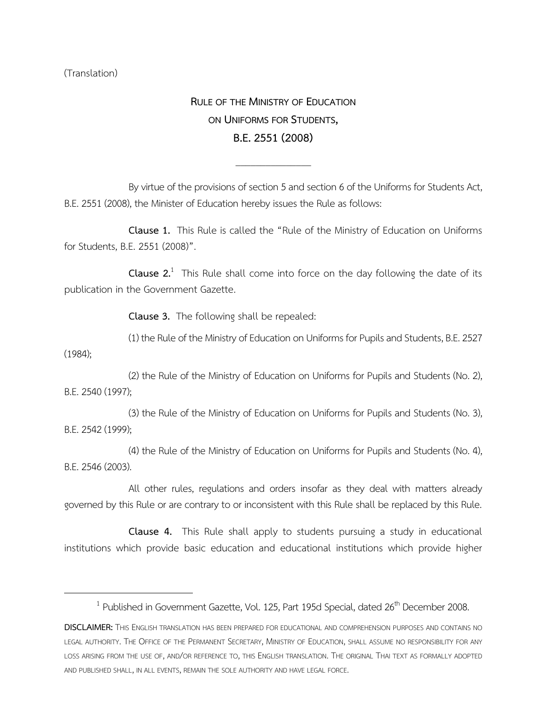(Translation)

 $\overline{\phantom{a}}$ 

**RULE OF THE MINISTRY OF EDUCATION ON UNIFORMS FOR STUDENTS, B.E.2551(2008)**

By virtue of the provisions of section 5 and section 6 of the Uniforms for Students Act, B.E. 2551 (2008), the Minister of Education hereby issues the Rule as follows:

\_\_\_\_\_\_\_\_\_\_\_\_\_\_\_

**Clause 1.** This Rule is called the "Rule of the Ministry of Education on Uniforms for Students, B.E. 2551 (2008)".

**Clause 2.**<sup>1</sup> This Rule shall come into force on the day following the date of its publication in the Government Gazette.

**Clause 3.** The following shall be repealed:

(1) the Rule of the Ministry of Education on Uniforms for Pupils and Students, B.E. 2527 (1984);

(2) the Rule of the Ministry of Education on Uniforms for Pupils and Students (No. 2), B.E. 2540 (1997);

(3) the Rule of the Ministry of Education on Uniforms for Pupils and Students (No. 3), B.E. 2542 (1999);

(4) the Rule of the Ministry of Education on Uniforms for Pupils and Students (No. 4), B.E. 2546 (2003).

All other rules, regulations and orders insofar as they deal with matters already governed by this Rule or are contrary to or inconsistent with this Rule shall be replaced by this Rule.

**Clause 4.** This Rule shall apply to students pursuing a study in educational institutions which provide basic education and educational institutions which provide higher

 $^1$  Published in Government Gazette, Vol. 125, Part 195d Special, dated 26<sup>th</sup> December 2008.

**DISCLAIMER:** THIS ENGLISH TRANSLATION HAS BEEN PREPARED FOR EDUCATIONAL AND COMPREHENSION PURPOSES AND CONTAINS NO LEGAL AUTHORITY. THE OFFICE OF THE PERMANENT SECRETARY, MINISTRY OF EDUCATION, SHALL ASSUME NO RESPONSIBILITY FOR ANY LOSS ARISING FROM THE USE OF, AND/OR REFERENCE TO, THIS ENGLISH TRANSLATION. THE ORIGINAL THAI TEXT AS FORMALLY ADOPTED AND PUBLISHED SHALL, IN ALL EVENTS, REMAIN THE SOLE AUTHORITY AND HAVE LEGAL FORCE.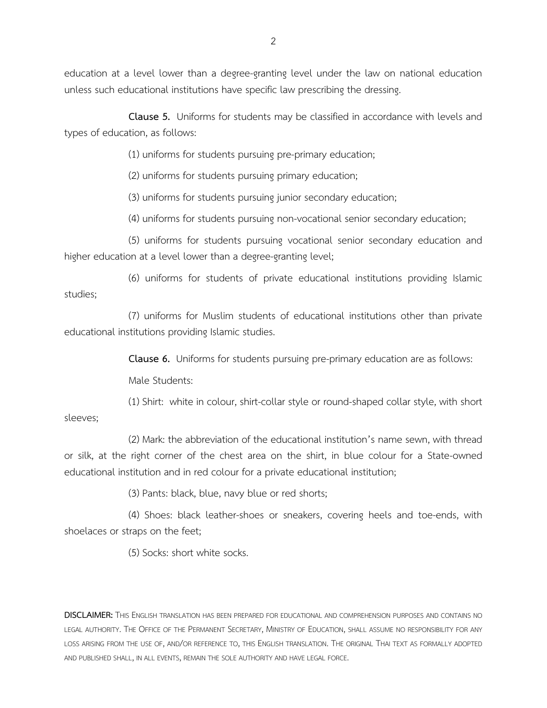**Clause 5.** Uniforms for students may be classified in accordance with levels and types of education, as follows:

(1) uniforms for students pursuing pre-primary education;

(2) uniforms for students pursuing primary education;

(3) uniforms for students pursuing junior secondary education;

(4) uniforms for students pursuing non-vocational senior secondary education;

(5) uniforms for students pursuing vocational senior secondary education and higher education at a level lower than a degree-granting level;

(6) uniforms for students of private educational institutions providing Islamic studies;

(7) uniforms for Muslim students of educational institutions other than private educational institutions providing Islamic studies.

**Clause 6.** Uniforms for students pursuing pre-primary education are as follows:

Male Students:

(1) Shirt: white in colour, shirt-collar style or round-shaped collar style, with short sleeves;

(2) Mark: the abbreviation of the educational institution's name sewn, with thread or silk, at the right corner of the chest area on the shirt, in blue colour for a State-owned educational institution and in red colour for a private educational institution;

(3) Pants: black, blue, navy blue or red shorts;

(4) Shoes: black leather-shoes or sneakers, covering heels and toe-ends, with shoelaces or straps on the feet;

(5) Socks: short white socks.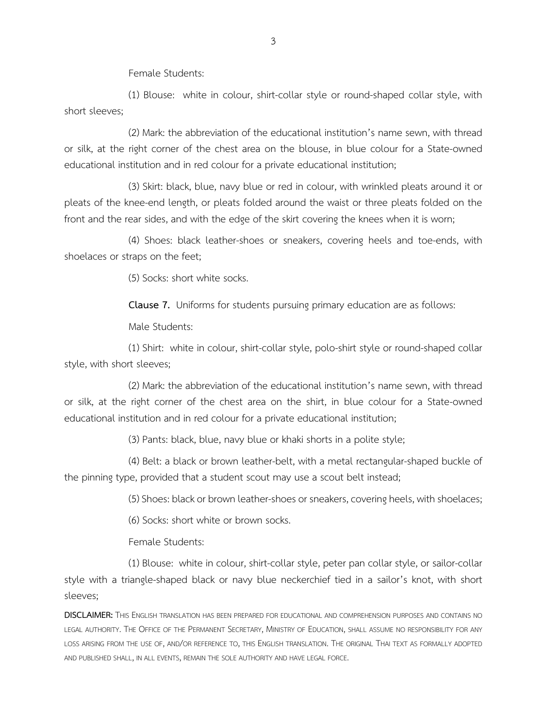Female Students:

(1) Blouse: white in colour, shirt-collar style or round-shaped collar style, with short sleeves;

(2) Mark: the abbreviation of the educational institution's name sewn, with thread or silk, at the right corner of the chest area on the blouse, in blue colour for a State-owned educational institution and in red colour for a private educational institution;

(3) Skirt: black, blue, navy blue or red in colour, with wrinkled pleats around it or pleats of the knee-end length, or pleats folded around the waist or three pleats folded on the front and the rear sides, and with the edge of the skirt covering the knees when it is worn;

(4) Shoes: black leather-shoes or sneakers, covering heels and toe-ends, with shoelaces or straps on the feet;

(5) Socks: short white socks.

**Clause 7.** Uniforms for students pursuing primary education are as follows:

Male Students:

(1) Shirt: white in colour, shirt-collar style, polo-shirt style or round-shaped collar style, with short sleeves;

(2) Mark: the abbreviation of the educational institution's name sewn, with thread or silk, at the right corner of the chest area on the shirt, in blue colour for a State-owned educational institution and in red colour for a private educational institution;

(3) Pants: black, blue, navy blue or khaki shorts in a polite style;

(4) Belt: a black or brown leather-belt, with a metal rectangular-shaped buckle of the pinning type, provided that a student scout may use a scout belt instead;

(5) Shoes: black or brown leather-shoes or sneakers, covering heels, with shoelaces;

(6) Socks: short white or brown socks.

Female Students:

(1) Blouse: white in colour, shirt-collar style, peter pan collar style, or sailor-collar style with a triangle-shaped black or navy blue neckerchief tied in a sailor's knot, with short sleeves;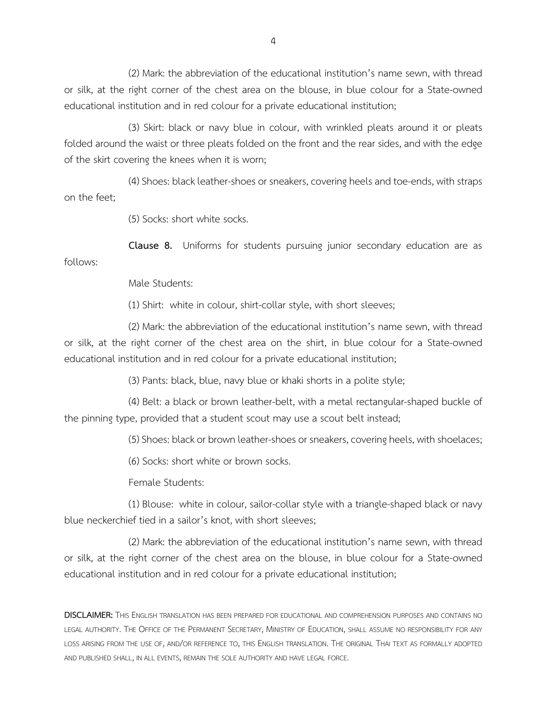(2) Mark: the abbreviation of the educational institution's name sewn, with thread or silk, at the right corner of the chest area on the blouse, in blue colour for a State-owned educational institution and in red colour for a private educational institution;

(3) Skirt: black or navy blue in colour, with wrinkled pleats around it or pleats folded around the waist or three pleats folded on the front and the rear sides, and with the edge of the skirt covering the knees when it is worn;

(4) Shoes: black leather-shoes or sneakers, covering heels and toe-ends, with straps on the feet;

(5) Socks: short white socks.

**Clause 8.** Uniforms for students pursuing junior secondary education are as follows:

Male Students:

(1) Shirt: white in colour, shirt-collar style, with short sleeves;

(2) Mark: the abbreviation of the educational institution's name sewn, with thread or silk, at the right corner of the chest area on the shirt, in blue colour for a State-owned educational institution and in red colour for a private educational institution;

(3) Pants: black, blue, navy blue or khaki shorts in a polite style;

(4) Belt: a black or brown leather-belt, with a metal rectangular-shaped buckle of the pinning type, provided that a student scout may use a scout belt instead;

(5) Shoes: black or brown leather-shoes or sneakers, covering heels, with shoelaces;

(6) Socks: short white or brown socks.

Female Students:

(1) Blouse: white in colour, sailor-collar style with a triangle-shaped black or navy blue neckerchief tied in a sailor's knot, with short sleeves;

(2) Mark: the abbreviation of the educational institution's name sewn, with thread or silk, at the right corner of the chest area on the blouse, in blue colour for a State-owned educational institution and in red colour for a private educational institution;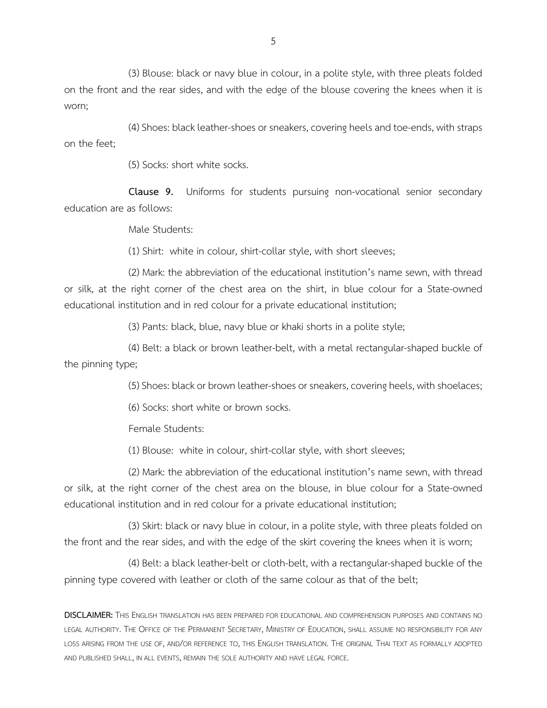(3) Blouse: black or navy blue in colour, in a polite style, with three pleats folded on the front and the rear sides, and with the edge of the blouse covering the knees when it is worn;

(4) Shoes: black leather-shoes or sneakers, covering heels and toe-ends, with straps on the feet;

(5) Socks: short white socks.

**Clause 9.** Uniforms for students pursuing non-vocational senior secondary education are as follows:

Male Students:

(1) Shirt: white in colour, shirt-collar style, with short sleeves;

(2) Mark: the abbreviation of the educational institution's name sewn, with thread or silk, at the right corner of the chest area on the shirt, in blue colour for a State-owned educational institution and in red colour for a private educational institution;

(3) Pants: black, blue, navy blue or khaki shorts in a polite style;

(4) Belt: a black or brown leather-belt, with a metal rectangular-shaped buckle of the pinning type;

(5) Shoes: black or brown leather-shoes or sneakers, covering heels, with shoelaces;

(6) Socks: short white or brown socks.

Female Students:

(1) Blouse: white in colour, shirt-collar style, with short sleeves;

(2) Mark: the abbreviation of the educational institution's name sewn, with thread or silk, at the right corner of the chest area on the blouse, in blue colour for a State-owned educational institution and in red colour for a private educational institution;

(3) Skirt: black or navy blue in colour, in a polite style, with three pleats folded on the front and the rear sides, and with the edge of the skirt covering the knees when it is worn;

(4) Belt: a black leather-belt or cloth-belt, with a rectangular-shaped buckle of the pinning type covered with leather or cloth of the same colour as that of the belt;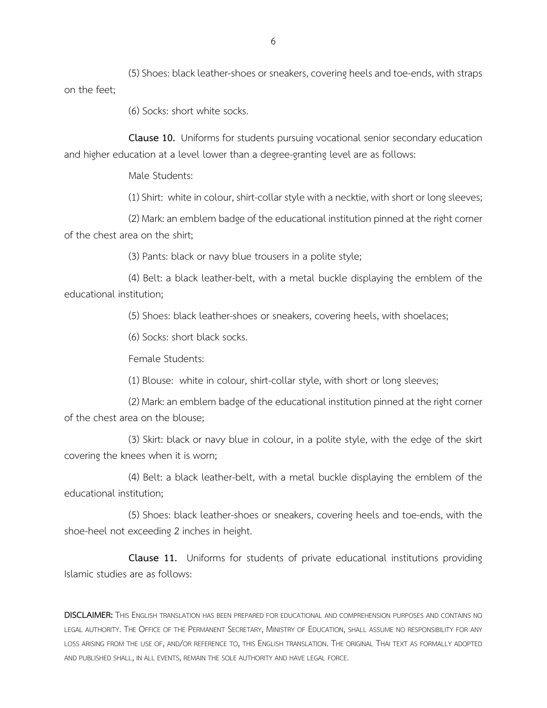(5) Shoes: black leather-shoes or sneakers, covering heels and toe-ends, with straps on the feet;

(6) Socks: short white socks.

**Clause 10.** Uniforms for students pursuing vocational senior secondary education and higher education at a level lower than a degree-granting level are as follows:

Male Students:

(1) Shirt: white in colour, shirt-collar style with a necktie, with short or long sleeves;

(2) Mark: an emblem badge of the educational institution pinned at the right corner of the chest area on the shirt;

(3) Pants: black or navy blue trousers in a polite style;

(4) Belt: a black leather-belt, with a metal buckle displaying the emblem of the educational institution;

(5) Shoes: black leather-shoes or sneakers, covering heels, with shoelaces;

(6) Socks: short black socks.

Female Students:

(1) Blouse: white in colour, shirt-collar style, with short or long sleeves;

(2) Mark: an emblem badge of the educational institution pinned at the right corner of the chest area on the blouse;

(3) Skirt: black or navy blue in colour, in a polite style, with the edge of the skirt covering the knees when it is worn;

(4) Belt: a black leather-belt, with a metal buckle displaying the emblem of the educational institution;

(5) Shoes: black leather-shoes or sneakers, covering heels and toe-ends, with the shoe-heel not exceeding 2 inches in height.

**Clause 11.** Uniforms for students of private educational institutions providing Islamic studies are as follows: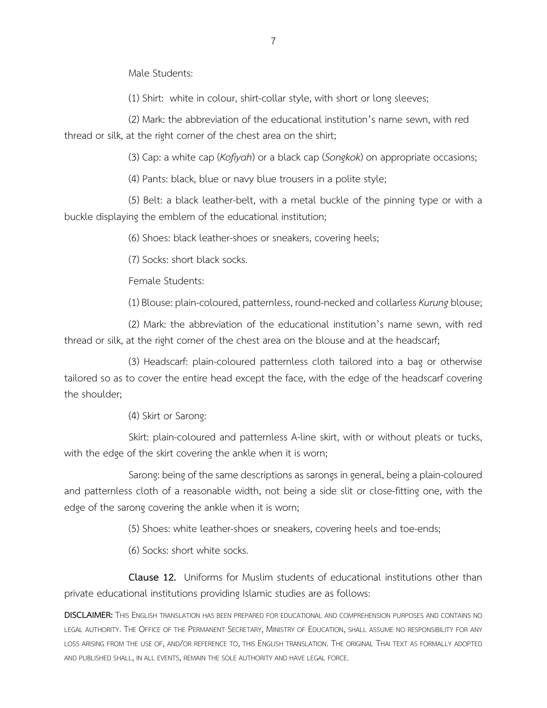Male Students:

(1) Shirt: white in colour, shirt-collar style, with short or long sleeves;

(2) Mark: the abbreviation of the educational institution's name sewn, with red thread or silk, at the right corner of the chest area on the shirt;

(3) Cap: a white cap (*Kofiyah*) or a black cap (*Songkok*) on appropriate occasions;

(4) Pants: black, blue or navy blue trousers in a polite style;

(5) Belt: a black leather-belt, with a metal buckle of the pinning type or with a buckle displaying the emblem of the educational institution;

(6) Shoes: black leather-shoes or sneakers, covering heels;

(7) Socks: short black socks.

Female Students:

(1) Blouse: plain-coloured, patternless, round-necked and collarless *Kurung* blouse;

(2) Mark: the abbreviation of the educational institution's name sewn, with red thread or silk, at the right corner of the chest area on the blouse and at the headscarf;

(3) Headscarf: plain-coloured patternless cloth tailored into a bag or otherwise tailored so as to cover the entire head except the face, with the edge of the headscarf covering the shoulder;

(4) Skirt or Sarong:

Skirt: plain-coloured and patternless A-line skirt, with or without pleats or tucks, with the edge of the skirt covering the ankle when it is worn;

Sarong: being of the same descriptions as sarongs in general, being a plain-coloured and patternless cloth of a reasonable width, not being a side slit or close-fitting one, with the edge of the sarong covering the ankle when it is worn;

(5) Shoes: white leather-shoes or sneakers, covering heels and toe-ends;

(6) Socks: short white socks.

**Clause 12.** Uniforms for Muslim students of educational institutions other than private educational institutions providing Islamic studies are as follows: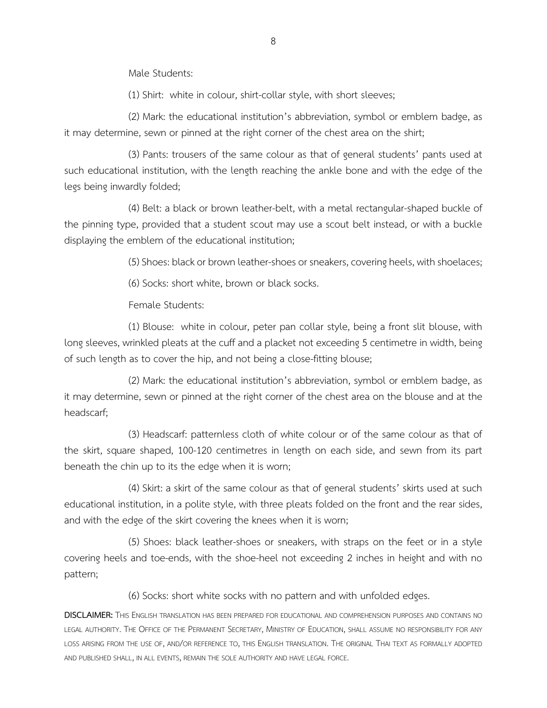Male Students:

(1) Shirt: white in colour, shirt-collar style, with short sleeves;

(2) Mark: the educational institution's abbreviation, symbol or emblem badge, as it may determine, sewn or pinned at the right corner of the chest area on the shirt;

(3) Pants: trousers of the same colour as that of general students' pants used at such educational institution, with the length reaching the ankle bone and with the edge of the legs being inwardly folded;

(4) Belt: a black or brown leather-belt, with a metal rectangular-shaped buckle of the pinning type, provided that a student scout may use a scout belt instead, or with a buckle displaying the emblem of the educational institution;

(5) Shoes: black or brown leather-shoes or sneakers, covering heels, with shoelaces;

(6) Socks: short white, brown or black socks.

Female Students:

(1) Blouse: white in colour, peter pan collar style, being a front slit blouse, with long sleeves, wrinkled pleats at the cuff and a placket not exceeding 5 centimetre in width, being of such length as to cover the hip, and not being a close-fitting blouse;

(2) Mark: the educational institution's abbreviation, symbol or emblem badge, as it may determine, sewn or pinned at the right corner of the chest area on the blouse and at the headscarf;

(3) Headscarf: patternless cloth of white colour or of the same colour as that of the skirt, square shaped, 100-120 centimetres in length on each side, and sewn from its part beneath the chin up to its the edge when it is worn;

(4) Skirt: a skirt of the same colour as that of general students' skirts used at such educational institution, in a polite style, with three pleats folded on the front and the rear sides, and with the edge of the skirt covering the knees when it is worn;

(5) Shoes: black leather-shoes or sneakers, with straps on the feet or in a style covering heels and toe-ends, with the shoe-heel not exceeding 2 inches in height and with no pattern;

(6) Socks: short white socks with no pattern and with unfolded edges.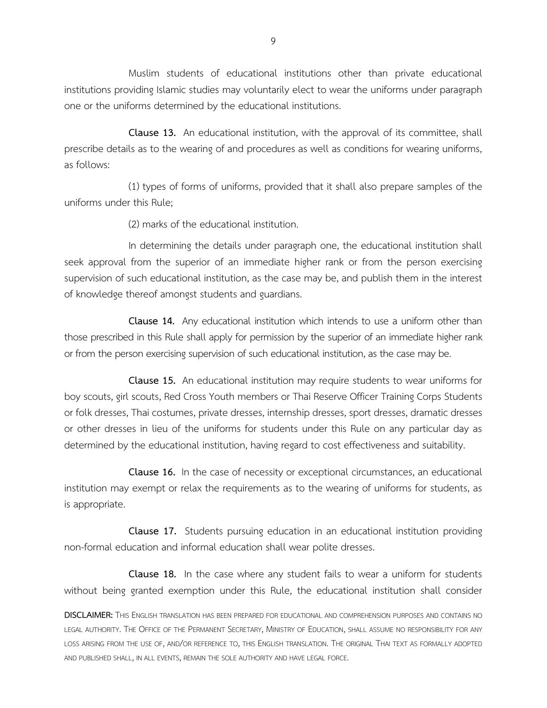Muslim students of educational institutions other than private educational institutions providing Islamic studies may voluntarily elect to wear the uniforms under paragraph one or the uniforms determined by the educational institutions.

**Clause 13.** An educational institution, with the approval of its committee, shall prescribe details as to the wearing of and procedures as well as conditions for wearing uniforms, as follows:

(1) types of forms of uniforms, provided that it shall also prepare samples of the uniforms under this Rule;

(2) marks of the educational institution.

In determining the details under paragraph one, the educational institution shall seek approval from the superior of an immediate higher rank or from the person exercising supervision of such educational institution, as the case may be, and publish them in the interest of knowledge thereof amongst students and guardians.

**Clause 14.** Any educational institution which intends to use a uniform other than those prescribed in this Rule shall apply for permission by the superior of an immediate higher rank or from the person exercising supervision of such educational institution, as the case may be.

**Clause 15.** An educational institution may require students to wear uniforms for boy scouts, girl scouts, Red Cross Youth members or Thai Reserve Officer Training Corps Students or folk dresses, Thai costumes, private dresses, internship dresses, sport dresses, dramatic dresses or other dresses in lieu of the uniforms for students under this Rule on any particular day as determined by the educational institution, having regard to cost effectiveness and suitability.

**Clause 16.** In the case of necessity or exceptional circumstances, an educational institution may exempt or relax the requirements as to the wearing of uniforms for students, as is appropriate.

**Clause 17.** Students pursuing education in an educational institution providing non-formal education and informal education shall wear polite dresses.

**Clause 18.** In the case where any student fails to wear a uniform for students without being granted exemption under this Rule, the educational institution shall consider